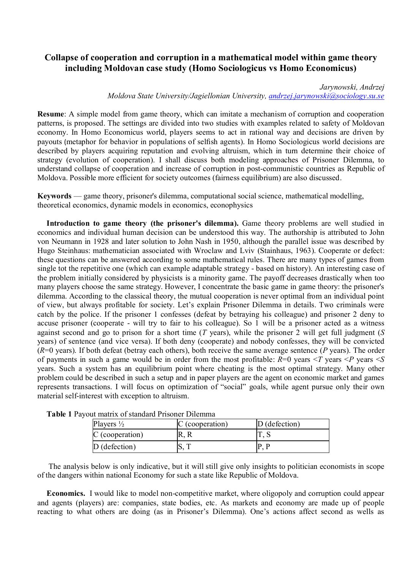## **Collapse of cooperation and corruption in a mathematical model within game theory including Moldovan case study (Homo Sociologicus vs Homo Economicus)**

## *Jarynowski, Andrzej*

*Moldova State University/Jagiellonian University, andrzej.jarynowski@sociology.su.se*

**Resume**: A simple model from game theory, which can imitate a mechanism of corruption and cooperation patterns, is proposed. The settings are divided into two studies with examples related to safety of Moldovan economy. In Homo Economicus world, players seems to act in rational way and decisions are driven by payouts (metaphor for behavior in populations of selfish agents). In Homo Sociologicus world decisions are described by players acquiring reputation and evolving altruism, which in turn determine their choice of strategy (evolution of cooperation). I shall discuss both modeling approaches of Prisoner Dilemma, to understand collapse of cooperation and increase of corruption in post-communistic countries as Republic of Moldova. Possible more efficient for society outcomes (fairness equilibrium) are also discussed.

**Keywords** — game theory, prisoner's dilemma, computational social science, mathematical modelling, theoretical economics, dynamic models in economics, econophysics

**Introduction to game theory (the prisoner's dilemma).** Game theory problems are well studied in economics and individual human decision can be understood this way. The authorship is attributed to John von Neumann in 1928 and later solution to John Nash in 1950, although the parallel issue was described by Hugo Steinhaus: mathematician associated with Wroclaw and Lviv (Stainhaus, 1963). Cooperate or defect: these questions can be answered according to some mathematical rules. There are many types of games from single tot the repetitive one (which can example adaptable strategy - based on history). An interesting case of the problem initially considered by physicists is a minority game. The payoff decreases drastically when too many players choose the same strategy. However, I concentrate the basic game in game theory: the prisoner's dilemma. According to the classical theory, the mutual cooperation is never optimal from an individual point of view, but always profitable for society. Let's explain Prisoner Dilemma in details. Two criminals were catch by the police. If the prisoner 1 confesses (defeat by betraying his colleague) and prisoner 2 deny to accuse prisoner (cooperate - will try to fair to his colleague). So 1 will be a prisoner acted as a witness against second and go to prison for a short time (*T* years), while the prisoner 2 will get full judgment (*S* years) of sentence (and vice versa). If both deny (cooperate) and nobody confesses, they will be convicted (*R*=0 years). If both defeat (betray each others), both receive the same average sentence (*P* years). The order of payments in such a game would be in order from the most profitable: *R*=0 years <*T* years <*P* years <*S* years. Such a system has an equilibrium point where cheating is the most optimal strategy. Many other problem could be described in such a setup and in paper players are the agent on economic market and games represents transactions. I will focus on optimization of "social" goals, while agent pursue only their own material self-interest with exception to altruism.

| Players $\frac{1}{2}$ | C (cooperation) | $D$ (defection) |
|-----------------------|-----------------|-----------------|
| C (cooperation)       |                 |                 |
| $D$ (defection)       |                 |                 |

**Table 1** Payout matrix of standard Prisoner Dilemma

The analysis below is only indicative, but it will still give only insights to politician economists in scope of the dangers within national Economy for such a state like Republic of Moldova.

**Economics.** I would like to model non-competitive market, where oligopoly and corruption could appear and agents (players) are: companies, state bodies, etc. As markets and economy are made up of people reacting to what others are doing (as in Prisoner's Dilemma). One's actions affect second as wells as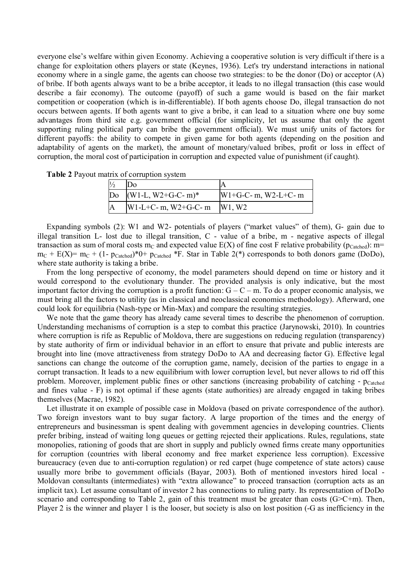everyone else's welfare within given Economy. Achieving a cooperative solution is very difficult if there is a change for exploitation others players or state (Keynes, 1936). Let's try understand interactions in national economy where in a single game, the agents can choose two strategies: to be the donor (Do) or acceptor (A) of bribe. If both agents always want to be a bribe acceptor, it leads to no illegal transaction (this case would describe a fair economy). The outcome (payoff) of such a game would is based on the fair market competition or cooperation (which is in-differentiable). If both agents choose Do, illegal transaction do not occurs between agents. If both agents want to give a bribe, it can lead to a situation where one buy some advantages from third site e.g. government official (for simplicity, let us assume that only the agent supporting ruling political party can bribe the government official). We must unify units of factors for different payoffs: the ability to compete in given game for both agents (depending on the position and adaptability of agents on the market), the amount of monetary/valued bribes, profit or loss in effect of corruption, the moral cost of participation in corruption and expected value of punishment (if caught).

|  | Table 2 Payout matrix of corruption system |  |  |
|--|--------------------------------------------|--|--|
|  |                                            |  |  |

| Do $(W1-L, W2+G-C-m)^*$ | $W1+G-C- m$ , $W2-L+C-m$        |
|-------------------------|---------------------------------|
| $W1-L+C-m, W2+G-C-m$    | W <sub>1</sub> , W <sub>2</sub> |

Expanding symbols (2): W1 and W2- potentials of players ("market values" of them), G- gain due to illegal transition L- lost due to illegal transition, C - value of a bribe, m - negative aspects of illegal transaction as sum of moral costs m<sub>C</sub> and expected value  $E(X)$  of fine cost F relative probability (p<sub>Catched</sub>): m=  $m_C + E(X) = m_C + (1-p_{\text{Catched}})^*0 + p_{\text{Catched}} * F$ . Star in Table 2(\*) corresponds to both donors game (DoDo), where state authority is taking a bribe.

From the long perspective of economy, the model parameters should depend on time or history and it would correspond to the evolutionary thunder. The provided analysis is only indicative, but the most important factor driving the corruption is a profit function:  $G - C - m$ . To do a proper economic analysis, we must bring all the factors to utility (as in classical and neoclassical economics methodology). Afterward, one could look for equilibria (Nash-type or Min-Max) and compare the resulting strategies.

We note that the game theory has already came several times to describe the phenomenon of corruption. Understanding mechanisms of corruption is a step to combat this practice (Jarynowski, 2010). In countries where corruption is rife as Republic of Moldova, there are suggestions on reducing regulation (transparency) by state authority of firm or individual behavior in an effort to ensure that private and public interests are brought into line (move attractiveness from strategy DoDo to AA and decreasing factor G). Effective legal sanctions can change the outcome of the corruption game, namely, decision of the parties to engage in a corrupt transaction. It leads to a new equilibrium with lower corruption level, but never allows to rid off this problem. Moreover, implement public fines or other sanctions (increasing probability of catching -  $p_{\text{catched}}$ ) and fines value - F) is not optimal if these agents (state authorities) are already engaged in taking bribes themselves (Macrae, 1982).

Let illustrate it on example of possible case in Moldova (based on private correspondence of the author). Two foreign investors want to buy sugar factory. A large proportion of the times and the energy of entrepreneurs and businessman is spent dealing with government agencies in developing countries. Clients prefer bribing, instead of waiting long queues or getting rejected their applications. Rules, regulations, state monopolies, rationing of goods that are short in supply and publicly owned firms create many opportunities for corruption (countries with liberal economy and free market experience less corruption). Excessive bureaucracy (even due to anti-corruption regulation) or red carpet (huge competence of state actors) cause usually more bribe to government officials (Bayar, 2003). Both of mentioned investors hired local - Moldovan consultants (intermediates) with "extra allowance" to proceed transaction (corruption acts as an implicit tax). Let assume consultant of investor 2 has connections to ruling party. Its representation of DoDo scenario and corresponding to Table 2, gain of this treatment must be greater than costs  $(G>C+m)$ . Then, Player 2 is the winner and player 1 is the looser, but society is also on lost position (-G as inefficiency in the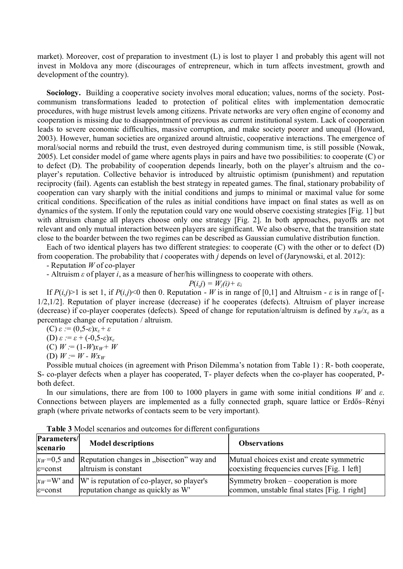market). Moreover, cost of preparation to investment (L) is lost to player 1 and probably this agent will not invest in Moldova any more (discourages of entrepreneur, which in turn affects investment, growth and development of the country).

**Sociology.** Building a cooperative society involves moral education; values, norms of the society. Postcommunism transformations leaded to protection of political elites with implementation democratic procedures, with huge mistrust levels among citizens. Private networks are very often engine of economy and cooperation is missing due to disappointment of previous as current institutional system. Lack of cooperation leads to severe economic difficulties, massive corruption, and make society poorer and unequal (Howard, 2003). However, human societies are organized around altruistic, cooperative interactions. The emergence of moral/social norms and rebuild the trust, even destroyed during communism time, is still possible (Nowak, 2005). Let consider model of game where agents plays in pairs and have two possibilities: to cooperate (C) or to defect (D). The probability of cooperation depends linearly, both on the player's altruism and the coplayer's reputation. Collective behavior is introduced by altruistic optimism (punishment) and reputation reciprocity (fail). Agents can establish the best strategy in repeated games. The final, stationary probability of cooperation can vary sharply with the initial conditions and jumps to minimal or maximal value for some critical conditions. Specification of the rules as initial conditions have impact on final states as well as on dynamics of the system. If only the reputation could vary one would observe coexisting strategies [Fig. 1] but with altruism change all players choose only one strategy [Fig. 2]. In both approaches, payoffs are not relevant and only mutual interaction between players are significant. We also observe, that the transition state close to the boarder between the two regimes can be described as Gaussian cumulative distribution function.

Each of two identical players has two different strategies: to cooperate (C) with the other or to defect (D) from cooperation. The probability that *i* cooperates with *j* depends on level of (Jarynowski, et al. 2012):

- Reputation *W* of co-player

- Altruism *ε* of player *i*, as a measure of her/his willingness to cooperate with others.

$$
P(i,j) = W_j(i) + \varepsilon_i
$$

If  $P(i,j)$  is set 1, if  $P(i,j)$ <0 then 0. Reputation - *W* is in range of [0,1] and Altruism - *ε* is in range of [-1/2,1/2]. Reputation of player increase (decrease) if he cooperates (defects). Altruism of player increase (decrease) if co-player cooperates (defects). Speed of change for reputation/altruism is defined by  $x_W/x_c$  as a percentage change of reputation / altruism.

$$
(C) \varepsilon := (0, 5-\varepsilon)x_{\varepsilon} + \varepsilon
$$

(D) *ε :*= *ε* + (-0,5-*ε*)*x<sup>ε</sup>*

$$
(C) W := (1-W)x_W + W
$$

(D)  $W := W - Wx_W$ 

Possible mutual choices (in agreement with Prison Dilemma's notation from Table 1) : R- both cooperate, S- co-player defects when a player has cooperated, T- player defects when the co-player has cooperated, Pboth defect.

In our simulations, there are from 100 to 1000 players in game with some initial conditions *W* and *ε*. Connections between players are implemented as a fully connected graph, square lattice or Erdős–Rényi graph (where private networks of contacts seem to be very important).

| Parameters/<br>scenario | <b>Model descriptions</b>                                                                       | <b>Observations</b>                                                                      |
|-------------------------|-------------------------------------------------------------------------------------------------|------------------------------------------------------------------------------------------|
| $\varepsilon$ =const    | $x_W$ =0,5 and Reputation changes in "bisection" way and<br>altruism is constant                | Mutual choices exist and create symmetric<br>coexisting frequencies curves [Fig. 1 left] |
| $\varepsilon$ =const    | $x_W = W'$ and W' is reputation of co-player, so player's<br>reputation change as quickly as W' | Symmetry broken – cooperation is more<br>common, unstable final states [Fig. 1 right]    |

**Table 3** Model scenarios and outcomes for different configurations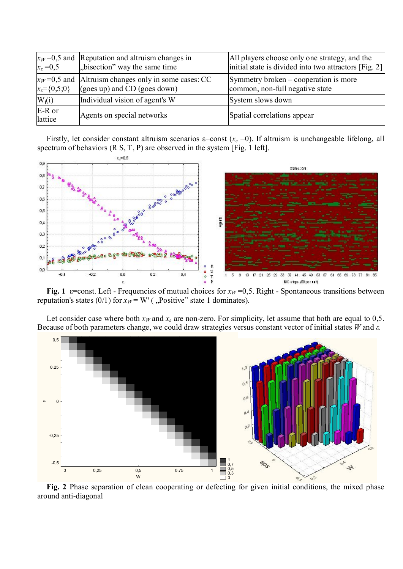| $x_{\varepsilon} = 0,5$         | $x_W$ =0,5 and Reputation and altruism changes in<br>"bisection" way the same time     | All players choose only one strategy, and the<br>initial state is divided into two attractors [Fig. 2] |
|---------------------------------|----------------------------------------------------------------------------------------|--------------------------------------------------------------------------------------------------------|
| $x_{\varepsilon} = \{0, 5; 0\}$ | $x_W$ =0,5 and Altruism changes only in some cases: CC<br>(goes up) and CD (goes down) | Symmetry broken – cooperation is more<br>common, non-full negative state                               |
| $W_i(i)$                        | Individual vision of agent's W                                                         | System slows down                                                                                      |
| E-R or<br>lattice               | Agents on special networks                                                             | Spatial correlations appear                                                                            |

Firstly, let consider constant altruism scenarios  $\varepsilon$ =const ( $x_\varepsilon$  =0). If altruism is unchangeable lifelong, all spectrum of behaviors  $(R S, T, P)$  are observed in the system [Fig. 1 left].



**Fig. 1**  $\varepsilon$ =const. Left - Frequencies of mutual choices for  $x_W$  =0,5. Right - Spontaneous transitions between reputation's states (0/1) for  $x_W = W'$  (, Positive" state 1 dominates).

Let consider case where both  $x_W$  and  $x_\varepsilon$  are non-zero. For simplicity, let assume that both are equal to 0,5. Because of both parameters change, we could draw strategies versus constant vector of initial states *W* and *ε.*



**Fig. 2** Phase separation of clean cooperating or defecting for given initial conditions, the mixed phase around anti-diagonal